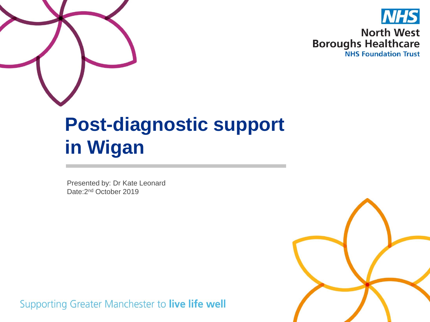



#### **Post-diagnostic support in Wigan**

Presented by: Dr Kate Leonard Date:2nd October 2019

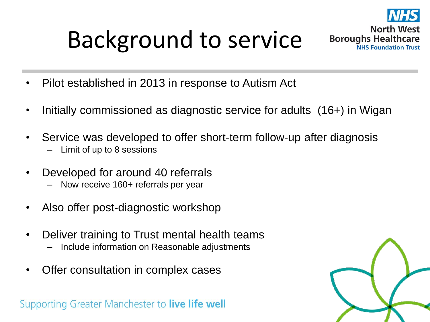#### Background to service



#### **North West Boroughs Healthcare NHS Foundation Trust**

- Pilot established in 2013 in response to Autism Act
- Initially commissioned as diagnostic service for adults (16+) in Wigan
- Service was developed to offer short-term follow-up after diagnosis – Limit of up to 8 sessions
- Developed for around 40 referrals
	- Now receive 160+ referrals per year
- Also offer post-diagnostic workshop
- Deliver training to Trust mental health teams
	- Include information on Reasonable adjustments
- Offer consultation in complex cases

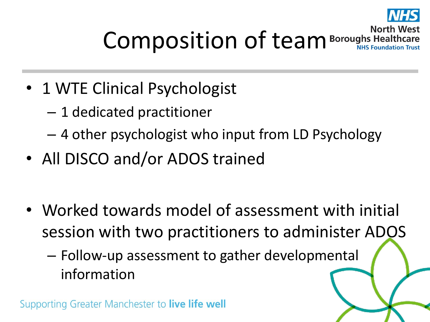

#### **North West** Composition of team Boroughs Healthcare

- 1 WTE Clinical Psychologist
	- 1 dedicated practitioner
	- 4 other psychologist who input from LD Psychology
- All DISCO and/or ADOS trained
- Worked towards model of assessment with initial session with two practitioners to administer ADOS
	- Follow-up assessment to gather developmental information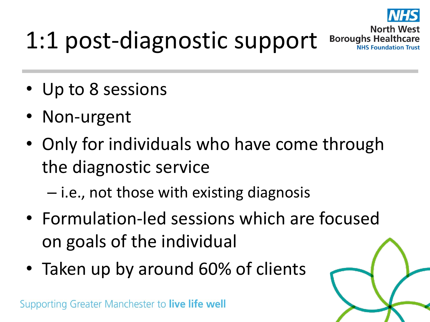

**North West** 

**Boroughs Healthcare** 

### 1:1 post-diagnostic support

- Up to 8 sessions
- Non-urgent
- Only for individuals who have come through the diagnostic service
	- i.e., not those with existing diagnosis
- Formulation-led sessions which are focused on goals of the individual
- Taken up by around 60% of clients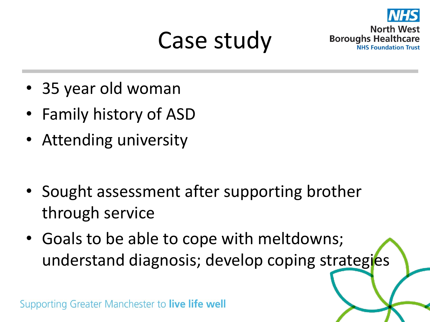#### Case study



• 35 year old woman

- Family history of ASD
- Attending university
- Sought assessment after supporting brother through service
- Goals to be able to cope with meltdowns; understand diagnosis; develop coping strategies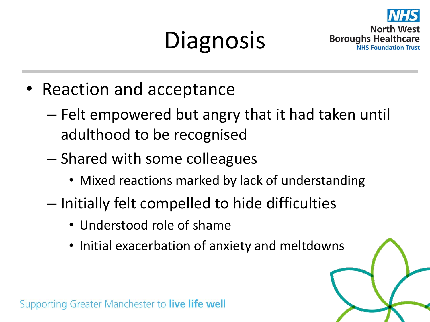# **Diagnosis**



- Reaction and acceptance
	- Felt empowered but angry that it had taken until adulthood to be recognised
	- Shared with some colleagues
		- Mixed reactions marked by lack of understanding
	- Initially felt compelled to hide difficulties
		- Understood role of shame
		- Initial exacerbation of anxiety and meltdowns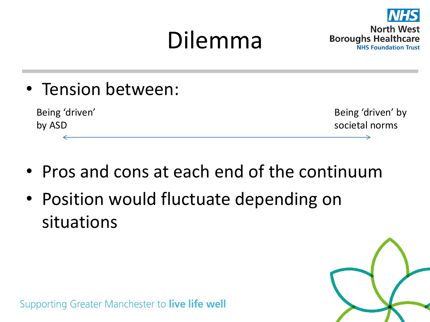#### Dilemma



• Tension between:

Being 'driven' by ASD

Being 'driven' by societal norms

- Pros and cons at each end of the continuum
- Position would fluctuate depending on situations

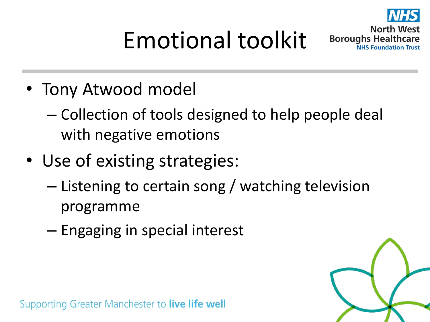

# Emotional toolkit

**North West Boroughs Healthcare NHS Foundation Trust** 

- Tony Atwood model
	- Collection of tools designed to help people deal with negative emotions
- Use of existing strategies:
	- Listening to certain song / watching television programme
	- Engaging in special interest

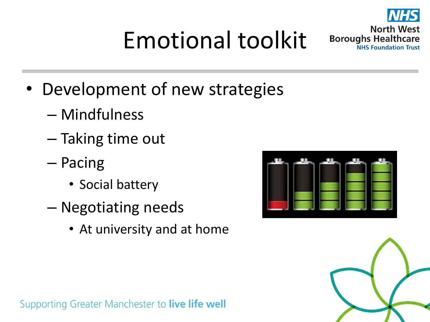**North West** 

**NHS Foundation Trust** 

**Boroughs Healthcare** 

# Emotional toolkit

- Development of new strategies
	- Mindfulness
	- Taking time out
	- Pacing
		- Social battery
	- Negotiating needs
		- At university and at home



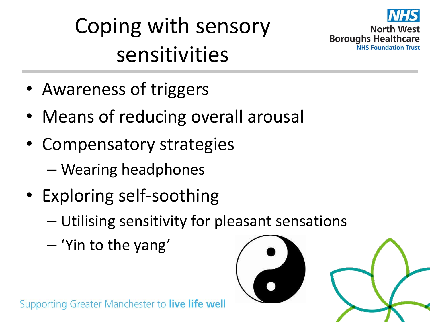



**North West Boroughs Healthcare** 

- Awareness of triggers
- Means of reducing overall arousal
- Compensatory strategies
	- Wearing headphones
- Exploring self-soothing
	- Utilising sensitivity for pleasant sensations
	- 'Yin to the yang'

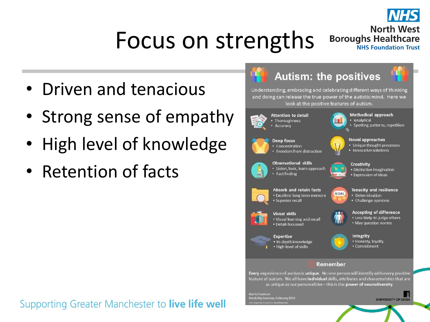

#### Focus on strengths

**North West Boroughs Healthcare NHS Foundation Trust** 

- Driven and tenacious
- Strong sense of empathy
- High level of knowledge
- Retention of facts





Every experience of autism is unique. No one person will identify with every positive feature of autism. We all have individual skills, attributes and characteristics that are as unique as our personalities - this is the power of neurodiversity.

ty Services, February 2018

**UNIVERSITY OF LEEDS**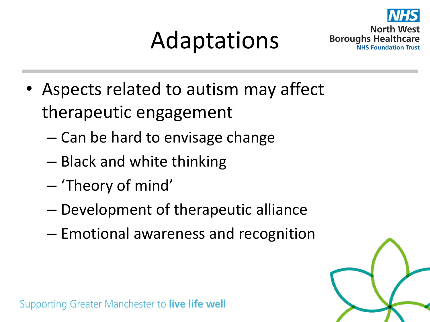#### Adaptations



**Boroughs Healthcare** 

- Aspects related to autism may affect therapeutic engagement
	- Can be hard to envisage change
	- Black and white thinking
	- 'Theory of mind'
	- Development of therapeutic alliance
	- Emotional awareness and recognition